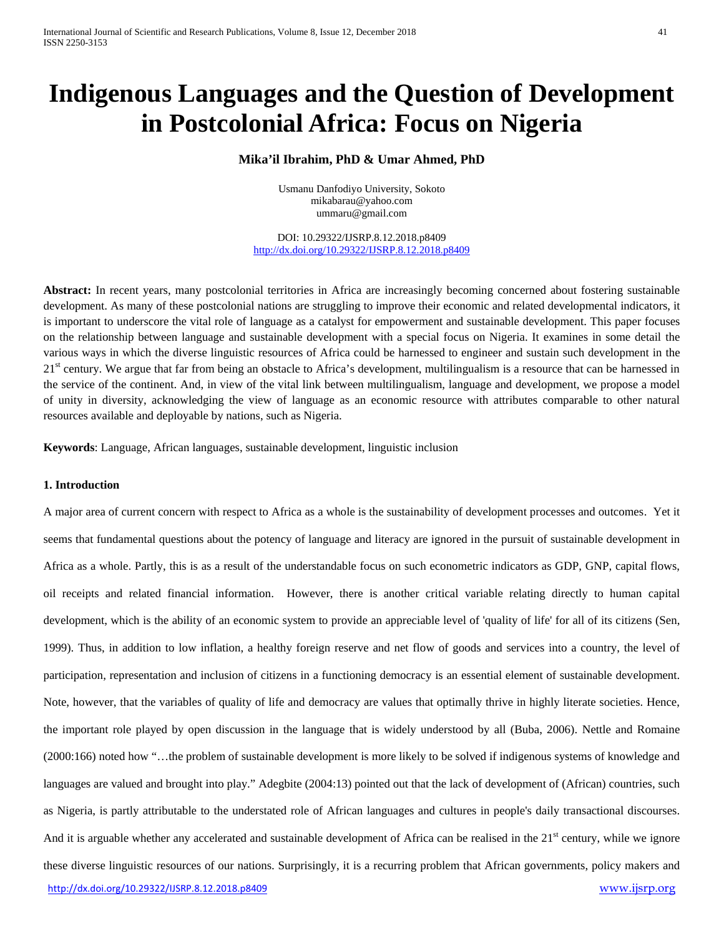# **Indigenous Languages and the Question of Development in Postcolonial Africa: Focus on Nigeria**

## **Mika'il Ibrahim, PhD & Umar Ahmed, PhD**

Usmanu Danfodiyo University, Sokoto [mikabarau@yahoo.com](mailto:mikabarau@yahoo.com) [ummaru@gmail.com](mailto:ummaru@gmail.com)

DOI: 10.29322/IJSRP.8.12.2018.p8409 <http://dx.doi.org/10.29322/IJSRP.8.12.2018.p8409>

Abstract: In recent years, many postcolonial territories in Africa are increasingly becoming concerned about fostering sustainable development. As many of these postcolonial nations are struggling to improve their economic and related developmental indicators, it is important to underscore the vital role of language as a catalyst for empowerment and sustainable development. This paper focuses on the relationship between language and sustainable development with a special focus on Nigeria. It examines in some detail the various ways in which the diverse linguistic resources of Africa could be harnessed to engineer and sustain such development in the  $21<sup>st</sup>$  century. We argue that far from being an obstacle to Africa's development, multilingualism is a resource that can be harnessed in the service of the continent. And, in view of the vital link between multilingualism, language and development, we propose a model of unity in diversity, acknowledging the view of language as an economic resource with attributes comparable to other natural resources available and deployable by nations, such as Nigeria.

**Keywords**: Language, African languages, sustainable development, linguistic inclusion

## **1. Introduction**

<http://dx.doi.org/10.29322/IJSRP.8.12.2018.p8409> [www.ijsrp.org](http://ijsrp.org/) A major area of current concern with respect to Africa as a whole is the sustainability of development processes and outcomes. Yet it seems that fundamental questions about the potency of language and literacy are ignored in the pursuit of sustainable development in Africa as a whole. Partly, this is as a result of the understandable focus on such econometric indicators as GDP, GNP, capital flows, oil receipts and related financial information. However, there is another critical variable relating directly to human capital development, which is the ability of an economic system to provide an appreciable level of 'quality of life' for all of its citizens (Sen, 1999). Thus, in addition to low inflation, a healthy foreign reserve and net flow of goods and services into a country, the level of participation, representation and inclusion of citizens in a functioning democracy is an essential element of sustainable development. Note, however, that the variables of quality of life and democracy are values that optimally thrive in highly literate societies. Hence, the important role played by open discussion in the language that is widely understood by all (Buba, 2006). Nettle and Romaine (2000:166) noted how "…the problem of sustainable development is more likely to be solved if indigenous systems of knowledge and languages are valued and brought into play." Adegbite (2004:13) pointed out that the lack of development of (African) countries, such as Nigeria, is partly attributable to the understated role of African languages and cultures in people's daily transactional discourses. And it is arguable whether any accelerated and sustainable development of Africa can be realised in the  $21<sup>st</sup>$  century, while we ignore these diverse linguistic resources of our nations. Surprisingly, it is a recurring problem that African governments, policy makers and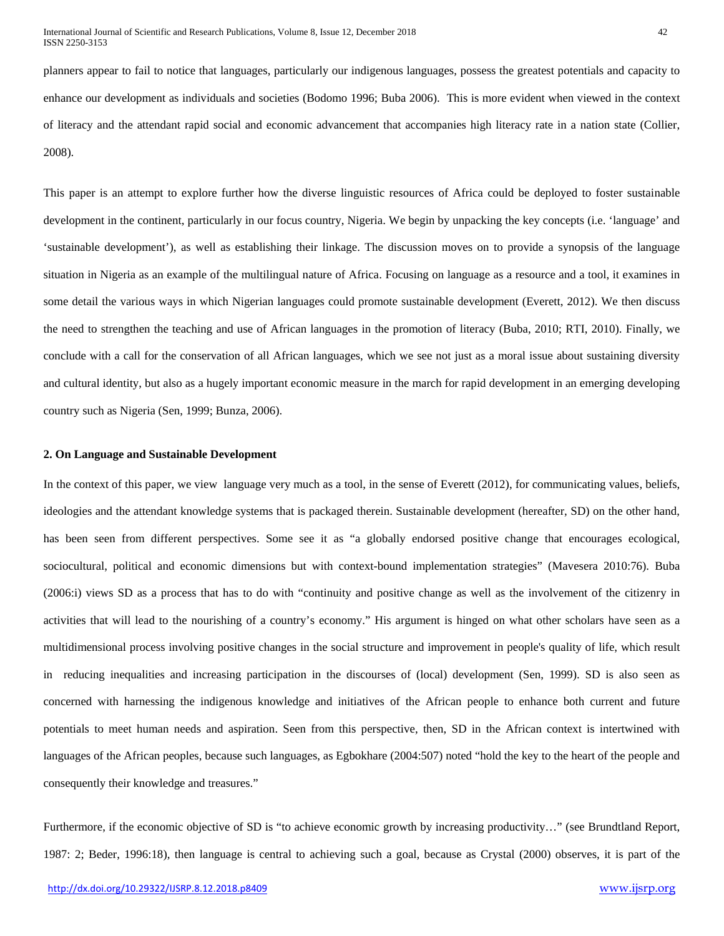planners appear to fail to notice that languages, particularly our indigenous languages, possess the greatest potentials and capacity to enhance our development as individuals and societies (Bodomo 1996; Buba 2006). This is more evident when viewed in the context of literacy and the attendant rapid social and economic advancement that accompanies high literacy rate in a nation state (Collier, 2008).

This paper is an attempt to explore further how the diverse linguistic resources of Africa could be deployed to foster sustainable development in the continent, particularly in our focus country, Nigeria. We begin by unpacking the key concepts (i.e. 'language' and 'sustainable development'), as well as establishing their linkage. The discussion moves on to provide a synopsis of the language situation in Nigeria as an example of the multilingual nature of Africa. Focusing on language as a resource and a tool, it examines in some detail the various ways in which Nigerian languages could promote sustainable development (Everett, 2012). We then discuss the need to strengthen the teaching and use of African languages in the promotion of literacy (Buba, 2010; RTI, 2010). Finally, we conclude with a call for the conservation of all African languages, which we see not just as a moral issue about sustaining diversity and cultural identity, but also as a hugely important economic measure in the march for rapid development in an emerging developing country such as Nigeria (Sen, 1999; Bunza, 2006).

#### **2. On Language and Sustainable Development**

In the context of this paper, we view language very much as a tool, in the sense of Everett (2012), for communicating values, beliefs, ideologies and the attendant knowledge systems that is packaged therein. Sustainable development (hereafter, SD) on the other hand, has been seen from different perspectives. Some see it as "a globally endorsed positive change that encourages ecological, sociocultural, political and economic dimensions but with context-bound implementation strategies" (Mavesera 2010:76). Buba (2006:i) views SD as a process that has to do with "continuity and positive change as well as the involvement of the citizenry in activities that will lead to the nourishing of a country's economy." His argument is hinged on what other scholars have seen as a multidimensional process involving positive changes in the social structure and improvement in people's quality of life, which result in reducing inequalities and increasing participation in the discourses of (local) development (Sen, 1999). SD is also seen as concerned with harnessing the indigenous knowledge and initiatives of the African people to enhance both current and future potentials to meet human needs and aspiration. Seen from this perspective, then, SD in the African context is intertwined with languages of the African peoples, because such languages, as Egbokhare (2004:507) noted "hold the key to the heart of the people and consequently their knowledge and treasures."

Furthermore, if the economic objective of SD is "to achieve economic growth by increasing productivity…" (see Brundtland Report, 1987: 2; Beder, 1996:18), then language is central to achieving such a goal, because as Crystal (2000) observes, it is part of the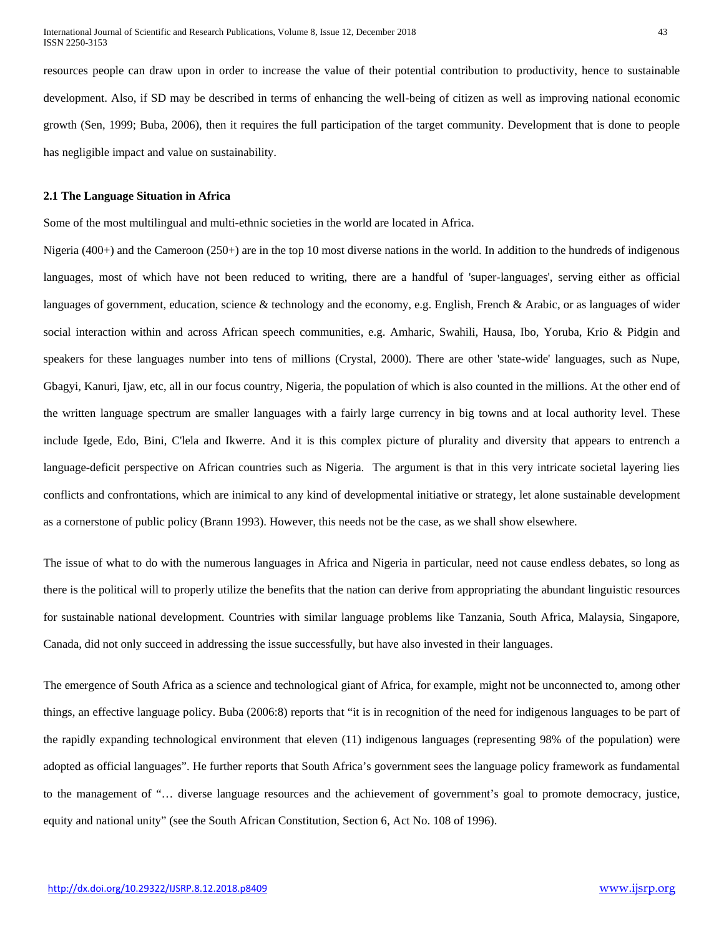resources people can draw upon in order to increase the value of their potential contribution to productivity, hence to sustainable development. Also, if SD may be described in terms of enhancing the well-being of citizen as well as improving national economic growth (Sen, 1999; Buba, 2006), then it requires the full participation of the target community. Development that is done to people has negligible impact and value on sustainability.

#### **2.1 The Language Situation in Africa**

Some of the most multilingual and multi-ethnic societies in the world are located in Africa.

Nigeria (400+) and the Cameroon (250+) are in the top 10 most diverse nations in the world. In addition to the hundreds of indigenous languages, most of which have not been reduced to writing, there are a handful of 'super-languages', serving either as official languages of government, education, science & technology and the economy, e.g. English, French & Arabic, or as languages of wider social interaction within and across African speech communities, e.g. Amharic, Swahili, Hausa, Ibo, Yoruba, Krio & Pidgin and speakers for these languages number into tens of millions (Crystal, 2000). There are other 'state-wide' languages, such as Nupe, Gbagyi, Kanuri, Ijaw, etc, all in our focus country, Nigeria, the population of which is also counted in the millions. At the other end of the written language spectrum are smaller languages with a fairly large currency in big towns and at local authority level. These include Igede, Edo, Bini, C'lela and Ikwerre. And it is this complex picture of plurality and diversity that appears to entrench a language-deficit perspective on African countries such as Nigeria. The argument is that in this very intricate societal layering lies conflicts and confrontations, which are inimical to any kind of developmental initiative or strategy, let alone sustainable development as a cornerstone of public policy (Brann 1993). However, this needs not be the case, as we shall show elsewhere.

The issue of what to do with the numerous languages in Africa and Nigeria in particular, need not cause endless debates, so long as there is the political will to properly utilize the benefits that the nation can derive from appropriating the abundant linguistic resources for sustainable national development. Countries with similar language problems like Tanzania, South Africa, Malaysia, Singapore, Canada, did not only succeed in addressing the issue successfully, but have also invested in their languages.

The emergence of South Africa as a science and technological giant of Africa, for example, might not be unconnected to, among other things, an effective language policy. Buba (2006:8) reports that "it is in recognition of the need for indigenous languages to be part of the rapidly expanding technological environment that eleven (11) indigenous languages (representing 98% of the population) were adopted as official languages". He further reports that South Africa's government sees the language policy framework as fundamental to the management of "… diverse language resources and the achievement of government's goal to promote democracy, justice, equity and national unity" (see the South African Constitution, Section 6, Act No. 108 of 1996).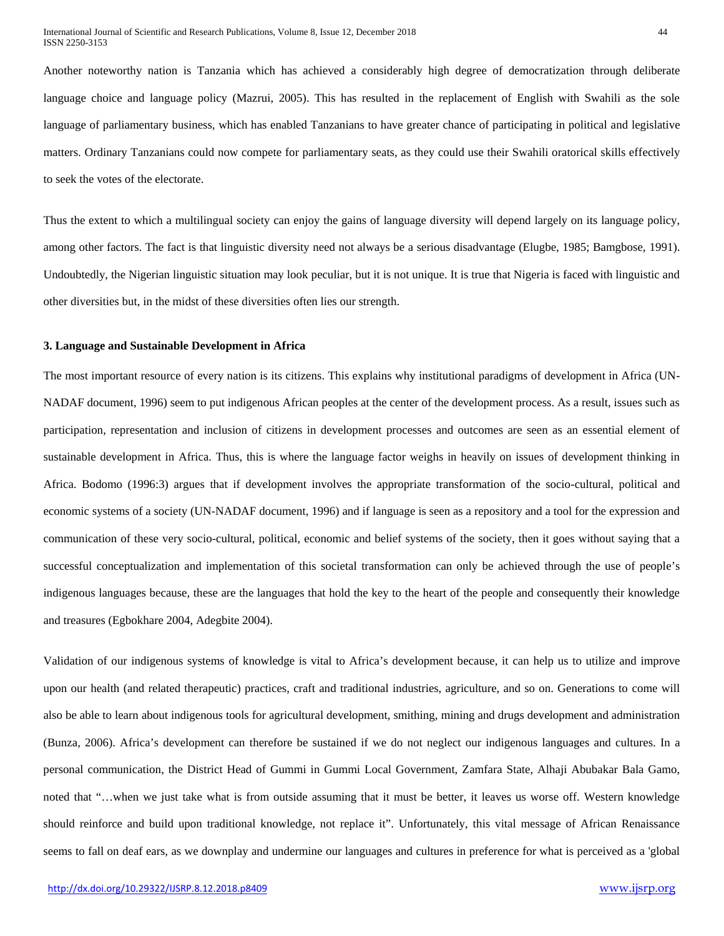Another noteworthy nation is Tanzania which has achieved a considerably high degree of democratization through deliberate language choice and language policy (Mazrui, 2005). This has resulted in the replacement of English with Swahili as the sole language of parliamentary business, which has enabled Tanzanians to have greater chance of participating in political and legislative matters. Ordinary Tanzanians could now compete for parliamentary seats, as they could use their Swahili oratorical skills effectively to seek the votes of the electorate.

Thus the extent to which a multilingual society can enjoy the gains of language diversity will depend largely on its language policy, among other factors. The fact is that linguistic diversity need not always be a serious disadvantage (Elugbe, 1985; Bamgbose, 1991). Undoubtedly, the Nigerian linguistic situation may look peculiar, but it is not unique. It is true that Nigeria is faced with linguistic and other diversities but, in the midst of these diversities often lies our strength.

### **3. Language and Sustainable Development in Africa**

The most important resource of every nation is its citizens. This explains why institutional paradigms of development in Africa (UN-NADAF document, 1996) seem to put indigenous African peoples at the center of the development process. As a result, issues such as participation, representation and inclusion of citizens in development processes and outcomes are seen as an essential element of sustainable development in Africa. Thus, this is where the language factor weighs in heavily on issues of development thinking in Africa. Bodomo (1996:3) argues that if development involves the appropriate transformation of the socio-cultural, political and economic systems of a society (UN-NADAF document, 1996) and if language is seen as a repository and a tool for the expression and communication of these very socio-cultural, political, economic and belief systems of the society, then it goes without saying that a successful conceptualization and implementation of this societal transformation can only be achieved through the use of people's indigenous languages because, these are the languages that hold the key to the heart of the people and consequently their knowledge and treasures (Egbokhare 2004, Adegbite 2004).

Validation of our indigenous systems of knowledge is vital to Africa's development because, it can help us to utilize and improve upon our health (and related therapeutic) practices, craft and traditional industries, agriculture, and so on. Generations to come will also be able to learn about indigenous tools for agricultural development, smithing, mining and drugs development and administration (Bunza, 2006). Africa's development can therefore be sustained if we do not neglect our indigenous languages and cultures. In a personal communication, the District Head of Gummi in Gummi Local Government, Zamfara State, Alhaji Abubakar Bala Gamo, noted that "…when we just take what is from outside assuming that it must be better, it leaves us worse off. Western knowledge should reinforce and build upon traditional knowledge, not replace it". Unfortunately, this vital message of African Renaissance seems to fall on deaf ears, as we downplay and undermine our languages and cultures in preference for what is perceived as a 'global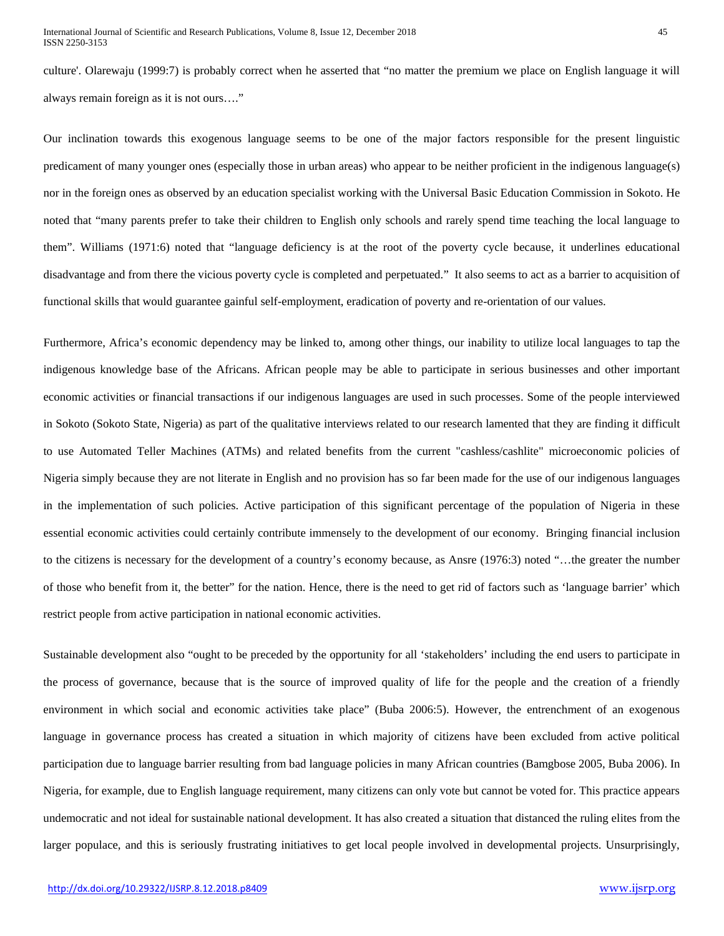culture'. Olarewaju (1999:7) is probably correct when he asserted that "no matter the premium we place on English language it will always remain foreign as it is not ours…."

Our inclination towards this exogenous language seems to be one of the major factors responsible for the present linguistic predicament of many younger ones (especially those in urban areas) who appear to be neither proficient in the indigenous language(s) nor in the foreign ones as observed by an education specialist working with the Universal Basic Education Commission in Sokoto. He noted that "many parents prefer to take their children to English only schools and rarely spend time teaching the local language to them". Williams (1971:6) noted that "language deficiency is at the root of the poverty cycle because, it underlines educational disadvantage and from there the vicious poverty cycle is completed and perpetuated." It also seems to act as a barrier to acquisition of functional skills that would guarantee gainful self-employment, eradication of poverty and re-orientation of our values.

Furthermore, Africa's economic dependency may be linked to, among other things, our inability to utilize local languages to tap the indigenous knowledge base of the Africans. African people may be able to participate in serious businesses and other important economic activities or financial transactions if our indigenous languages are used in such processes. Some of the people interviewed in Sokoto (Sokoto State, Nigeria) as part of the qualitative interviews related to our research lamented that they are finding it difficult to use Automated Teller Machines (ATMs) and related benefits from the current "cashless/cashlite" microeconomic policies of Nigeria simply because they are not literate in English and no provision has so far been made for the use of our indigenous languages in the implementation of such policies. Active participation of this significant percentage of the population of Nigeria in these essential economic activities could certainly contribute immensely to the development of our economy. Bringing financial inclusion to the citizens is necessary for the development of a country's economy because, as Ansre (1976:3) noted "…the greater the number of those who benefit from it, the better" for the nation. Hence, there is the need to get rid of factors such as 'language barrier' which restrict people from active participation in national economic activities.

Sustainable development also "ought to be preceded by the opportunity for all 'stakeholders' including the end users to participate in the process of governance, because that is the source of improved quality of life for the people and the creation of a friendly environment in which social and economic activities take place" (Buba 2006:5). However, the entrenchment of an exogenous language in governance process has created a situation in which majority of citizens have been excluded from active political participation due to language barrier resulting from bad language policies in many African countries (Bamgbose 2005, Buba 2006). In Nigeria, for example, due to English language requirement, many citizens can only vote but cannot be voted for. This practice appears undemocratic and not ideal for sustainable national development. It has also created a situation that distanced the ruling elites from the larger populace, and this is seriously frustrating initiatives to get local people involved in developmental projects. Unsurprisingly,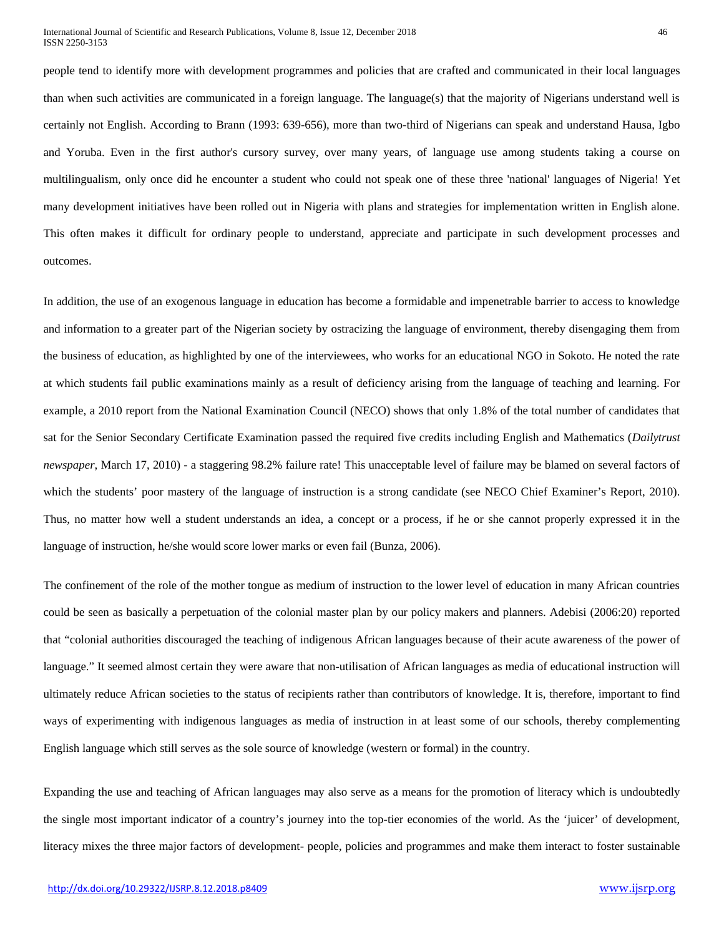people tend to identify more with development programmes and policies that are crafted and communicated in their local languages than when such activities are communicated in a foreign language. The language(s) that the majority of Nigerians understand well is certainly not English. According to Brann (1993: 639-656), more than two-third of Nigerians can speak and understand Hausa, Igbo and Yoruba. Even in the first author's cursory survey, over many years, of language use among students taking a course on multilingualism, only once did he encounter a student who could not speak one of these three 'national' languages of Nigeria! Yet many development initiatives have been rolled out in Nigeria with plans and strategies for implementation written in English alone. This often makes it difficult for ordinary people to understand, appreciate and participate in such development processes and outcomes.

In addition, the use of an exogenous language in education has become a formidable and impenetrable barrier to access to knowledge and information to a greater part of the Nigerian society by ostracizing the language of environment, thereby disengaging them from the business of education, as highlighted by one of the interviewees, who works for an educational NGO in Sokoto. He noted the rate at which students fail public examinations mainly as a result of deficiency arising from the language of teaching and learning. For example, a 2010 report from the National Examination Council (NECO) shows that only 1.8% of the total number of candidates that sat for the Senior Secondary Certificate Examination passed the required five credits including English and Mathematics (*Dailytrust newspaper*, March 17, 2010) - a staggering 98.2% failure rate! This unacceptable level of failure may be blamed on several factors of which the students' poor mastery of the language of instruction is a strong candidate (see NECO Chief Examiner's Report, 2010). Thus, no matter how well a student understands an idea, a concept or a process, if he or she cannot properly expressed it in the language of instruction, he/she would score lower marks or even fail (Bunza, 2006).

The confinement of the role of the mother tongue as medium of instruction to the lower level of education in many African countries could be seen as basically a perpetuation of the colonial master plan by our policy makers and planners. Adebisi (2006:20) reported that "colonial authorities discouraged the teaching of indigenous African languages because of their acute awareness of the power of language." It seemed almost certain they were aware that non-utilisation of African languages as media of educational instruction will ultimately reduce African societies to the status of recipients rather than contributors of knowledge. It is, therefore, important to find ways of experimenting with indigenous languages as media of instruction in at least some of our schools, thereby complementing English language which still serves as the sole source of knowledge (western or formal) in the country.

Expanding the use and teaching of African languages may also serve as a means for the promotion of literacy which is undoubtedly the single most important indicator of a country's journey into the top-tier economies of the world. As the 'juicer' of development, literacy mixes the three major factors of development- people, policies and programmes and make them interact to foster sustainable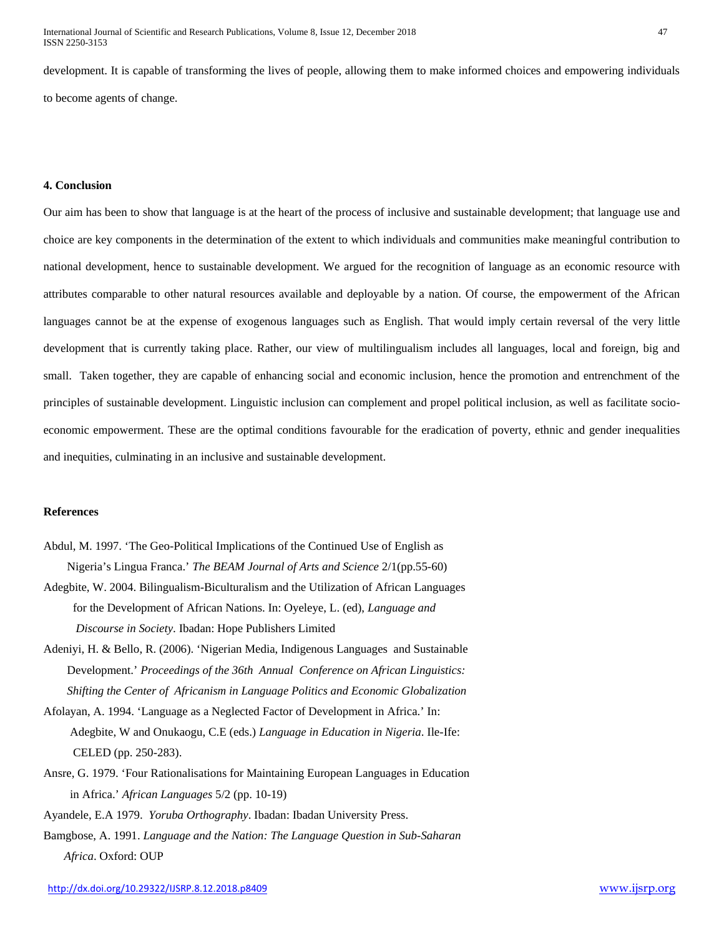development. It is capable of transforming the lives of people, allowing them to make informed choices and empowering individuals to become agents of change.

#### **4. Conclusion**

Our aim has been to show that language is at the heart of the process of inclusive and sustainable development; that language use and choice are key components in the determination of the extent to which individuals and communities make meaningful contribution to national development, hence to sustainable development. We argued for the recognition of language as an economic resource with attributes comparable to other natural resources available and deployable by a nation. Of course, the empowerment of the African languages cannot be at the expense of exogenous languages such as English. That would imply certain reversal of the very little development that is currently taking place. Rather, our view of multilingualism includes all languages, local and foreign, big and small. Taken together, they are capable of enhancing social and economic inclusion, hence the promotion and entrenchment of the principles of sustainable development. Linguistic inclusion can complement and propel political inclusion, as well as facilitate socioeconomic empowerment. These are the optimal conditions favourable for the eradication of poverty, ethnic and gender inequalities and inequities, culminating in an inclusive and sustainable development.

## **References**

- Abdul, M. 1997. 'The Geo-Political Implications of the Continued Use of English as Nigeria's Lingua Franca.' *The BEAM Journal of Arts and Science* 2/1(pp.55-60)
- Adegbite, W. 2004. Bilingualism-Biculturalism and the Utilization of African Languages for the Development of African Nations. In: Oyeleye, L. (ed), *Language and Discourse in Society*. Ibadan: Hope Publishers Limited
- Adeniyi, H. & Bello, R. (2006). 'Nigerian Media, Indigenous Languages and Sustainable Development.' *Proceedings of the 36th Annual Conference on African Linguistics: Shifting the Center of Africanism in Language Politics and Economic Globalization*
- Afolayan, A. 1994. 'Language as a Neglected Factor of Development in Africa.' In: Adegbite, W and Onukaogu, C.E (eds.) *Language in Education in Nigeria*. Ile-Ife: CELED (pp. 250-283).
- Ansre, G. 1979. 'Four Rationalisations for Maintaining European Languages in Education in Africa.' *African Languages* 5/2 (pp. 10-19)
- Ayandele, E.A 1979. *Yoruba Orthography*. Ibadan: Ibadan University Press.
- Bamgbose, A. 1991. *Language and the Nation: The Language Question in Sub-Saharan Africa*. Oxford: OUP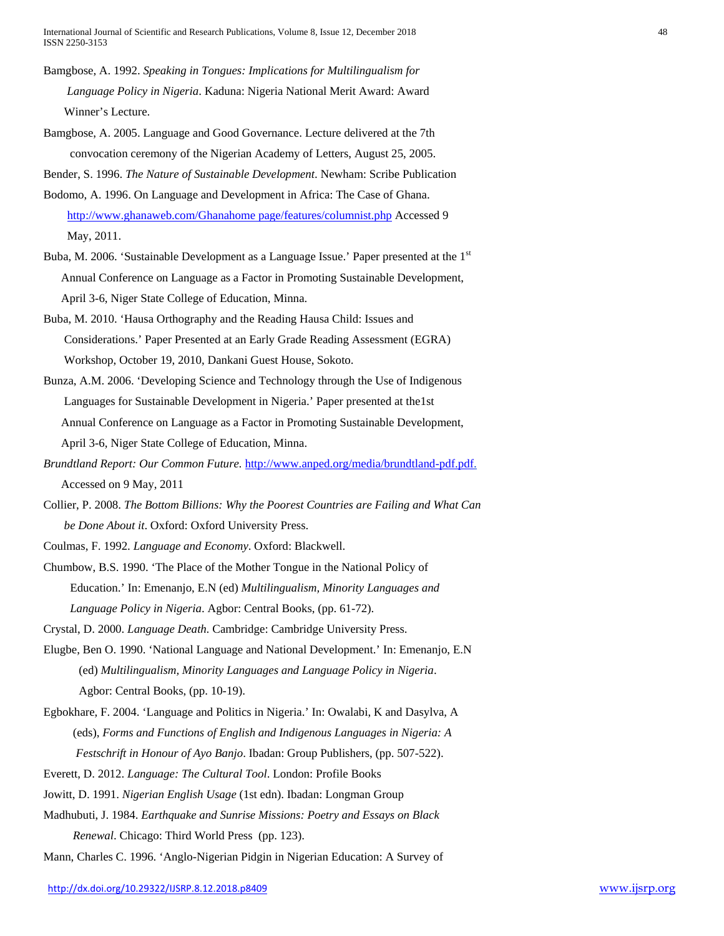International Journal of Scientific and Research Publications, Volume 8, Issue 12, December 2018 48 ISSN 2250-3153

- Bamgbose, A. 1992. *Speaking in Tongues: Implications for Multilingualism for Language Policy in Nigeria*. Kaduna: Nigeria National Merit Award: Award Winner's Lecture.
- Bamgbose, A. 2005. Language and Good Governance. Lecture delivered at the 7th convocation ceremony of the Nigerian Academy of Letters, August 25, 2005.
- Bender, S. 1996. *The Nature of Sustainable Development*. Newham: Scribe Publication
- Bodomo, A. 1996. On Language and Development in Africa: The Case of Ghana. [http://www.ghanaweb.com/Ghanahome page/features/columnist.php](http://www.ghanaweb.com/Ghanahome%20page/features/columnist.php) Accessed 9 May, 2011.
- Buba, M. 2006. 'Sustainable Development as a Language Issue.' Paper presented at the  $1<sup>st</sup>$  Annual Conference on Language as a Factor in Promoting Sustainable Development, April 3-6, Niger State College of Education, Minna.
- Buba, M. 2010. 'Hausa Orthography and the Reading Hausa Child: Issues and Considerations.' Paper Presented at an Early Grade Reading Assessment (EGRA) Workshop, October 19, 2010, Dankani Guest House, Sokoto.
- Bunza, A.M. 2006. 'Developing Science and Technology through the Use of Indigenous Languages for Sustainable Development in Nigeria.' Paper presented at the1st Annual Conference on Language as a Factor in Promoting Sustainable Development, April 3-6, Niger State College of Education, Minna.
- *Brundtland Report: Our Common Future.* [http://www.anped.org/media/brundtland-pdf.pdf.](http://www.anped.org/media/brundtland-pdf.pdf) Accessed on 9 May, 2011
- Collier, P. 2008. *The Bottom Billions: Why the Poorest Countries are Failing and What Can be Done About it*. Oxford: Oxford University Press.

Coulmas, F. 1992. *Language and Economy*. Oxford: Blackwell.

- Chumbow, B.S. 1990. 'The Place of the Mother Tongue in the National Policy of Education.' In: Emenanjo, E.N (ed) *Multilingualism, Minority Languages and Language Policy in Nigeria*. Agbor: Central Books, (pp. 61-72).
- Crystal, D. 2000. *Language Death.* Cambridge: Cambridge University Press.
- Elugbe, Ben O. 1990. 'National Language and National Development.' In: Emenanjo, E.N (ed) *Multilingualism, Minority Languages and Language Policy in Nigeria*. Agbor: Central Books, (pp. 10-19).
- Egbokhare, F. 2004. 'Language and Politics in Nigeria.' In: Owalabi, K and Dasylva, A (eds), *Forms and Functions of English and Indigenous Languages in Nigeria: A Festschrift in Honour of Ayo Banjo*. Ibadan: Group Publishers, (pp. 507-522).
- Everett, D. 2012. *Language: The Cultural Tool*. London: Profile Books
- Jowitt, D. 1991. *Nigerian English Usage* (1st edn). Ibadan: Longman Group
- Madhubuti, J. 1984. *Earthquake and Sunrise Missions: Poetry and Essays on Black*

 *Renewal*. Chicago: Third World Press (pp. 123).

Mann, Charles C. 1996. 'Anglo-Nigerian Pidgin in Nigerian Education: A Survey of